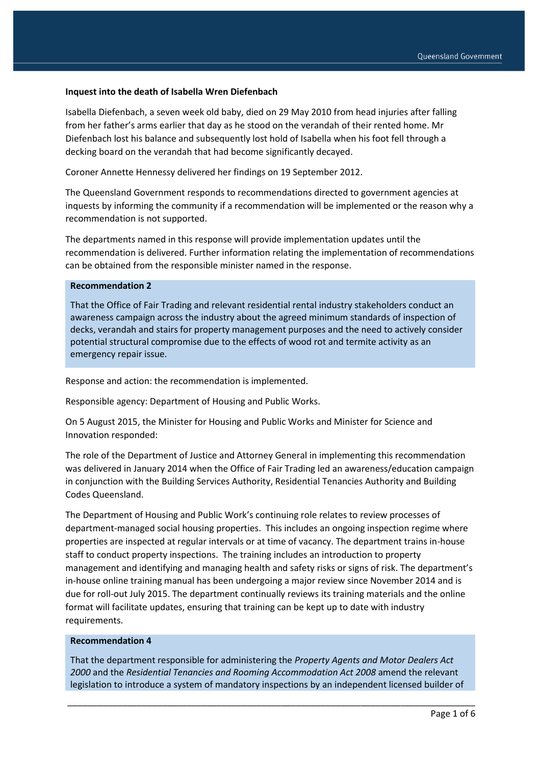#### **Inquest into the death of Isabella Wren Diefenbach**

Isabella Diefenbach, a seven week old baby, died on 29 May 2010 from head injuries after falling from her father's arms earlier that day as he stood on the verandah of their rented home. Mr Diefenbach lost his balance and subsequently lost hold of Isabella when his foot fell through a decking board on the verandah that had become significantly decayed.

Coroner Annette Hennessy delivered her findings on 19 September 2012.

The Queensland Government responds to recommendations directed to government agencies at inquests by informing the community if a recommendation will be implemented or the reason why a recommendation is not supported.

The departments named in this response will provide implementation updates until the recommendation is delivered. Further information relating the implementation of recommendations can be obtained from the responsible minister named in the response.

#### **Recommendation 2**

That the Office of Fair Trading and relevant residential rental industry stakeholders conduct an awareness campaign across the industry about the agreed minimum standards of inspection of decks, verandah and stairs for property management purposes and the need to actively consider potential structural compromise due to the effects of wood rot and termite activity as an emergency repair issue.

Response and action: the recommendation is implemented.

Responsible agency: Department of Housing and Public Works.

On 5 August 2015, the Minister for Housing and Public Works and Minister for Science and Innovation responded:

The role of the Department of Justice and Attorney General in implementing this recommendation was delivered in January 2014 when the Office of Fair Trading led an awareness/education campaign in conjunction with the Building Services Authority, Residential Tenancies Authority and Building Codes Queensland.

The Department of Housing and Public Work's continuing role relates to review processes of department-managed social housing properties. This includes an ongoing inspection regime where properties are inspected at regular intervals or at time of vacancy. The department trains in-house staff to conduct property inspections. The training includes an introduction to property management and identifying and managing health and safety risks or signs of risk. The department's in-house online training manual has been undergoing a major review since November 2014 and is due for roll-out July 2015. The department continually reviews its training materials and the online format will facilitate updates, ensuring that training can be kept up to date with industry requirements.

#### **Recommendation 4**

That the department responsible for administering the *Property Agents and Motor Dealers Act 2000* and the *Residential Tenancies and Rooming Accommodation Act 2008* amend the relevant legislation to introduce a system of mandatory inspections by an independent licensed builder of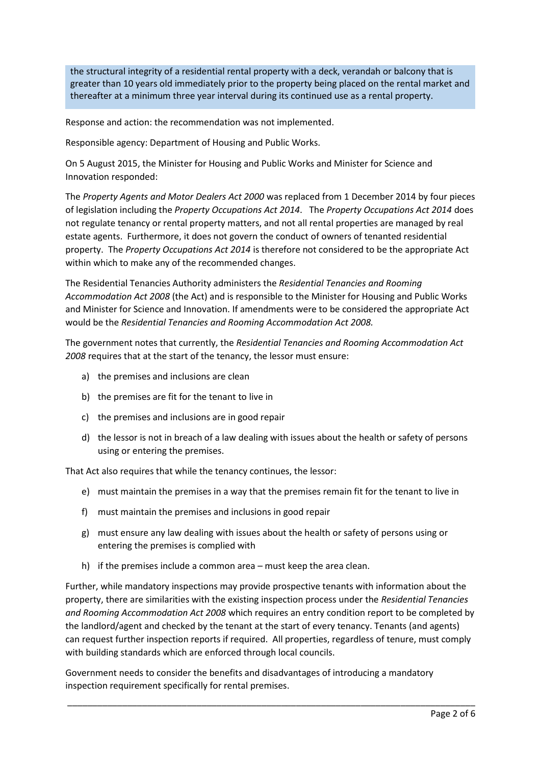the structural integrity of a residential rental property with a deck, verandah or balcony that is greater than 10 years old immediately prior to the property being placed on the rental market and thereafter at a minimum three year interval during its continued use as a rental property.

Response and action: the recommendation was not implemented.

Responsible agency: Department of Housing and Public Works.

On 5 August 2015, the Minister for Housing and Public Works and Minister for Science and Innovation responded:

The *Property Agents and Motor Dealers Act 2000* was replaced from 1 December 2014 by four pieces of legislation including the *Property Occupations Act 2014*. The *Property Occupations Act 2014* does not regulate tenancy or rental property matters, and not all rental properties are managed by real estate agents. Furthermore, it does not govern the conduct of owners of tenanted residential property. The *Property Occupations Act 2014* is therefore not considered to be the appropriate Act within which to make any of the recommended changes.

The Residential Tenancies Authority administers the *Residential Tenancies and Rooming Accommodation Act 2008* (the Act) and is responsible to the Minister for Housing and Public Works and Minister for Science and Innovation. If amendments were to be considered the appropriate Act would be the *Residential Tenancies and Rooming Accommodation Act 2008.*

The government notes that currently, the *Residential Tenancies and Rooming Accommodation Act 2008* requires that at the start of the tenancy, the lessor must ensure:

- a) the premises and inclusions are clean
- b) the premises are fit for the tenant to live in
- c) the premises and inclusions are in good repair
- d) the lessor is not in breach of a law dealing with issues about the health or safety of persons using or entering the premises.

That Act also requires that while the tenancy continues, the lessor:

- e) must maintain the premises in a way that the premises remain fit for the tenant to live in
- f) must maintain the premises and inclusions in good repair
- g) must ensure any law dealing with issues about the health or safety of persons using or entering the premises is complied with
- h) if the premises include a common area must keep the area clean.

Further, while mandatory inspections may provide prospective tenants with information about the property, there are similarities with the existing inspection process under the *Residential Tenancies and Rooming Accommodation Act 2008* which requires an entry condition report to be completed by the landlord/agent and checked by the tenant at the start of every tenancy. Tenants (and agents) can request further inspection reports if required. All properties, regardless of tenure, must comply with building standards which are enforced through local councils.

\_\_\_\_\_\_\_\_\_\_\_\_\_\_\_\_\_\_\_\_\_\_\_\_\_\_\_\_\_\_\_\_\_\_\_\_\_\_\_\_\_\_\_\_\_\_\_\_\_\_\_\_\_\_\_\_\_\_\_\_\_\_\_\_\_\_\_\_\_\_\_\_\_\_\_\_\_\_\_\_\_\_

Government needs to consider the benefits and disadvantages of introducing a mandatory inspection requirement specifically for rental premises.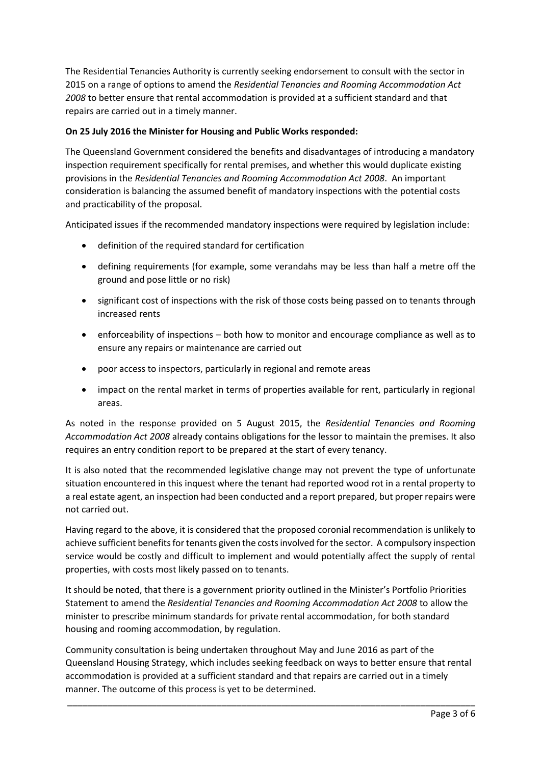The Residential Tenancies Authority is currently seeking endorsement to consult with the sector in 2015 on a range of options to amend the *Residential Tenancies and Rooming Accommodation Act 2008* to better ensure that rental accommodation is provided at a sufficient standard and that repairs are carried out in a timely manner.

# **On 25 July 2016 the Minister for Housing and Public Works responded:**

The Queensland Government considered the benefits and disadvantages of introducing a mandatory inspection requirement specifically for rental premises, and whether this would duplicate existing provisions in the *Residential Tenancies and Rooming Accommodation Act 2008*. An important consideration is balancing the assumed benefit of mandatory inspections with the potential costs and practicability of the proposal.

Anticipated issues if the recommended mandatory inspections were required by legislation include:

- definition of the required standard for certification
- defining requirements (for example, some verandahs may be less than half a metre off the ground and pose little or no risk)
- significant cost of inspections with the risk of those costs being passed on to tenants through increased rents
- enforceability of inspections both how to monitor and encourage compliance as well as to ensure any repairs or maintenance are carried out
- poor access to inspectors, particularly in regional and remote areas
- impact on the rental market in terms of properties available for rent, particularly in regional areas.

As noted in the response provided on 5 August 2015, the *Residential Tenancies and Rooming Accommodation Act 2008* already contains obligations for the lessor to maintain the premises. It also requires an entry condition report to be prepared at the start of every tenancy.

It is also noted that the recommended legislative change may not prevent the type of unfortunate situation encountered in this inquest where the tenant had reported wood rot in a rental property to a real estate agent, an inspection had been conducted and a report prepared, but proper repairs were not carried out.

Having regard to the above, it is considered that the proposed coronial recommendation is unlikely to achieve sufficient benefits for tenants given the costs involved for the sector. A compulsory inspection service would be costly and difficult to implement and would potentially affect the supply of rental properties, with costs most likely passed on to tenants.

It should be noted, that there is a government priority outlined in the Minister's Portfolio Priorities Statement to amend the *Residential Tenancies and Rooming Accommodation Act 2008* to allow the minister to prescribe minimum standards for private rental accommodation, for both standard housing and rooming accommodation, by regulation.

Community consultation is being undertaken throughout May and June 2016 as part of the Queensland Housing Strategy, which includes seeking feedback on ways to better ensure that rental accommodation is provided at a sufficient standard and that repairs are carried out in a timely manner. The outcome of this process is yet to be determined.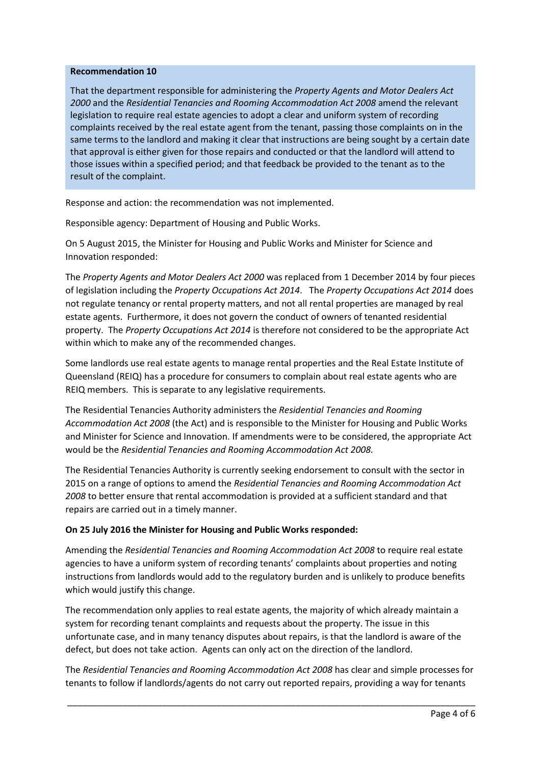### **Recommendation 10**

That the department responsible for administering the *Property Agents and Motor Dealers Act 2000* and the *Residential Tenancies and Rooming Accommodation Act 2008* amend the relevant legislation to require real estate agencies to adopt a clear and uniform system of recording complaints received by the real estate agent from the tenant, passing those complaints on in the same terms to the landlord and making it clear that instructions are being sought by a certain date that approval is either given for those repairs and conducted or that the landlord will attend to those issues within a specified period; and that feedback be provided to the tenant as to the result of the complaint.

Response and action: the recommendation was not implemented.

Responsible agency: Department of Housing and Public Works.

On 5 August 2015, the Minister for Housing and Public Works and Minister for Science and Innovation responded:

The *Property Agents and Motor Dealers Act 2000* was replaced from 1 December 2014 by four pieces of legislation including the *Property Occupations Act 2014*. The *Property Occupations Act 2014* does not regulate tenancy or rental property matters, and not all rental properties are managed by real estate agents. Furthermore, it does not govern the conduct of owners of tenanted residential property. The *Property Occupations Act 2014* is therefore not considered to be the appropriate Act within which to make any of the recommended changes.

Some landlords use real estate agents to manage rental properties and the Real Estate Institute of Queensland (REIQ) has a procedure for consumers to complain about real estate agents who are REIQ members. This is separate to any legislative requirements.

The Residential Tenancies Authority administers the *Residential Tenancies and Rooming Accommodation Act 2008* (the Act) and is responsible to the Minister for Housing and Public Works and Minister for Science and Innovation. If amendments were to be considered, the appropriate Act would be the *Residential Tenancies and Rooming Accommodation Act 2008.*

The Residential Tenancies Authority is currently seeking endorsement to consult with the sector in 2015 on a range of options to amend the *Residential Tenancies and Rooming Accommodation Act 2008* to better ensure that rental accommodation is provided at a sufficient standard and that repairs are carried out in a timely manner.

### **On 25 July 2016 the Minister for Housing and Public Works responded:**

Amending the *Residential Tenancies and Rooming Accommodation Act 2008* to require real estate agencies to have a uniform system of recording tenants' complaints about properties and noting instructions from landlords would add to the regulatory burden and is unlikely to produce benefits which would justify this change.

The recommendation only applies to real estate agents, the majority of which already maintain a system for recording tenant complaints and requests about the property. The issue in this unfortunate case, and in many tenancy disputes about repairs, is that the landlord is aware of the defect, but does not take action. Agents can only act on the direction of the landlord.

The *Residential Tenancies and Rooming Accommodation Act 2008* has clear and simple processes for tenants to follow if landlords/agents do not carry out reported repairs, providing a way for tenants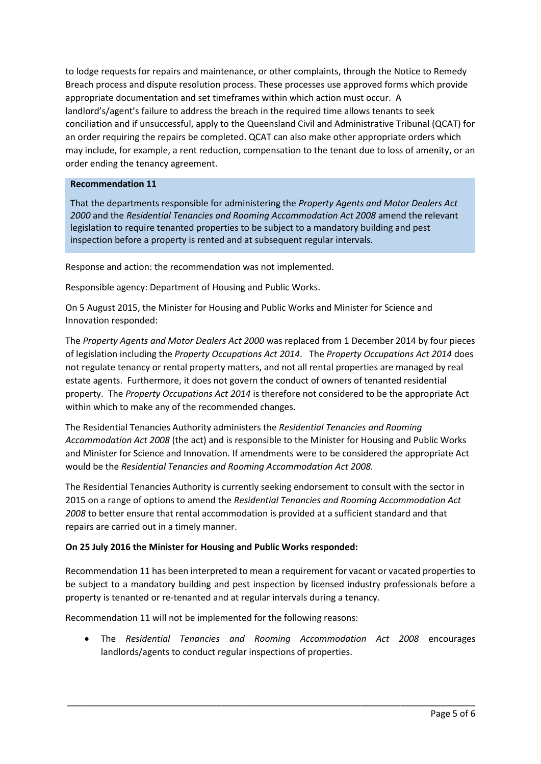to lodge requests for repairs and maintenance, or other complaints, through the Notice to Remedy Breach process and dispute resolution process. These processes use approved forms which provide appropriate documentation and set timeframes within which action must occur. A landlord's/agent's failure to address the breach in the required time allows tenants to seek conciliation and if unsuccessful, apply to the Queensland Civil and Administrative Tribunal (QCAT) for an order requiring the repairs be completed. QCAT can also make other appropriate orders which may include, for example, a rent reduction, compensation to the tenant due to loss of amenity, or an order ending the tenancy agreement.

## **Recommendation 11**

That the departments responsible for administering the *Property Agents and Motor Dealers Act 2000* and the *Residential Tenancies and Rooming Accommodation Act 2008* amend the relevant legislation to require tenanted properties to be subject to a mandatory building and pest inspection before a property is rented and at subsequent regular intervals.

Response and action: the recommendation was not implemented.

Responsible agency: Department of Housing and Public Works.

On 5 August 2015, the Minister for Housing and Public Works and Minister for Science and Innovation responded:

The *Property Agents and Motor Dealers Act 2000* was replaced from 1 December 2014 by four pieces of legislation including the *Property Occupations Act 2014*. The *Property Occupations Act 2014* does not regulate tenancy or rental property matters, and not all rental properties are managed by real estate agents. Furthermore, it does not govern the conduct of owners of tenanted residential property. The *Property Occupations Act 2014* is therefore not considered to be the appropriate Act within which to make any of the recommended changes.

The Residential Tenancies Authority administers the *Residential Tenancies and Rooming Accommodation Act 2008* (the act) and is responsible to the Minister for Housing and Public Works and Minister for Science and Innovation. If amendments were to be considered the appropriate Act would be the *Residential Tenancies and Rooming Accommodation Act 2008.*

The Residential Tenancies Authority is currently seeking endorsement to consult with the sector in 2015 on a range of options to amend the *Residential Tenancies and Rooming Accommodation Act 2008* to better ensure that rental accommodation is provided at a sufficient standard and that repairs are carried out in a timely manner.

## **On 25 July 2016 the Minister for Housing and Public Works responded:**

Recommendation 11 has been interpreted to mean a requirement for vacant or vacated properties to be subject to a mandatory building and pest inspection by licensed industry professionals before a property is tenanted or re-tenanted and at regular intervals during a tenancy.

Recommendation 11 will not be implemented for the following reasons:

 The *Residential Tenancies and Rooming Accommodation Act 2008* encourages landlords/agents to conduct regular inspections of properties.